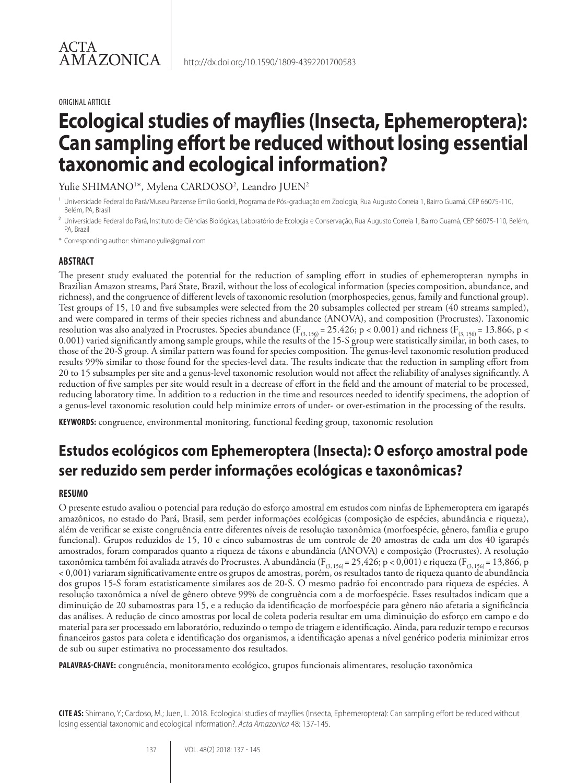#### ORIGINAL ARTICLE

# **Ecological studies of mayflies (Insecta, Ephemeroptera): Can sampling effort be reduced without losing essential taxonomic and ecological information?**

Yulie SHIMANO1\*, Mylena CARDOSO<sup>2</sup>, Leandro JUEN<sup>2</sup>

- <sup>1</sup> Universidade Federal do Pará/Museu Paraense Emílio Goeldi, Programa de Pós-graduação em Zoologia, Rua Augusto Correia 1, Bairro Guamá, CEP 66075-110, Belém, PA, Brasil
- <sup>2</sup> Universidade Federal do Pará, Instituto de Ciências Biológicas, Laboratório de Ecologia e Conservação, Rua Augusto Correia 1, Bairro Guamá, CEP 66075-110, Belém, PA, Brazil
- \* Corresponding author: shimano.yulie@gmail.com

#### **ABSTRACT**

The present study evaluated the potential for the reduction of sampling effort in studies of ephemeropteran nymphs in Brazilian Amazon streams, Pará State, Brazil, without the loss of ecological information (species composition, abundance, and richness), and the congruence of different levels of taxonomic resolution (morphospecies, genus, family and functional group). Test groups of 15, 10 and five subsamples were selected from the 20 subsamples collected per stream (40 streams sampled), and were compared in terms of their species richness and abundance (ANOVA), and composition (Procrustes). Taxonomic resolution was also analyzed in Procrustes. Species abundance ( $F_{(3, 156)} = 25.426$ ; p < 0.001) and richness ( $F_{(3, 156)} = 13.866$ , p < 0.001) varied significantly among sample groups, while the results of the 15-S group were statistically similar, in both cases, to those of the 20-S group. A similar pattern was found for species composition. The genus-level taxonomic resolution produced results 99% similar to those found for the species-level data. The results indicate that the reduction in sampling effort from 20 to 15 subsamples per site and a genus-level taxonomic resolution would not affect the reliability of analyses significantly. A reduction of five samples per site would result in a decrease of effort in the field and the amount of material to be processed, reducing laboratory time. In addition to a reduction in the time and resources needed to identify specimens, the adoption of a genus-level taxonomic resolution could help minimize errors of under- or over-estimation in the processing of the results.

**KEYWORDS:** congruence, environmental monitoring, functional feeding group, taxonomic resolution

# **Estudos ecológicos com Ephemeroptera (Insecta): O esforço amostral pode ser reduzido sem perder informações ecológicas e taxonômicas?**

#### **RESUMO**

O presente estudo avaliou o potencial para redução do esforço amostral em estudos com ninfas de Ephemeroptera em igarapés amazônicos, no estado do Pará, Brasil, sem perder informações ecológicas (composição de espécies, abundância e riqueza), além de verificar se existe congruência entre diferentes níveis de resolução taxonômica (morfoespécie, gênero, família e grupo funcional). Grupos reduzidos de 15, 10 e cinco subamostras de um controle de 20 amostras de cada um dos 40 igarapés amostrados, foram comparados quanto a riqueza de táxons e abundância (ANOVA) e composição (Procrustes). A resolução taxonômica também foi avaliada através do Procrustes. A abundância (F<sub>(3, 156)</sub> = 25,426; p < 0,001) e riqueza (F<sub>(3, 156)</sub> = 13,866, p < 0,001) variaram significativamente entre os grupos de amostras, porém, os resultados tanto de riqueza quanto de abundância dos grupos 15-S foram estatisticamente similares aos de 20-S. O mesmo padrão foi encontrado para riqueza de espécies. A resolução taxonômica a nível de gênero obteve 99% de congruência com a de morfoespécie. Esses resultados indicam que a diminuição de 20 subamostras para 15, e a redução da identificação de morfoespécie para gênero não afetaria a significância das análises. A redução de cinco amostras por local de coleta poderia resultar em uma diminuição do esforço em campo e do material para ser processado em laboratório, reduzindo o tempo de triagem e identificação. Ainda, para reduzir tempo e recursos financeiros gastos para coleta e identificação dos organismos, a identificação apenas a nível genérico poderia minimizar erros de sub ou super estimativa no processamento dos resultados.

**PALAVRAS-CHAVE:** congruência, monitoramento ecológico, grupos funcionais alimentares, resolução taxonômica

**CITE AS:** Shimano, Y.; Cardoso, M.; Juen, L. 2018. Ecological studies of mayflies (Insecta, Ephemeroptera): Can sampling effort be reduced without losing essential taxonomic and ecological information?. *Acta Amazonica* 48: 137-145.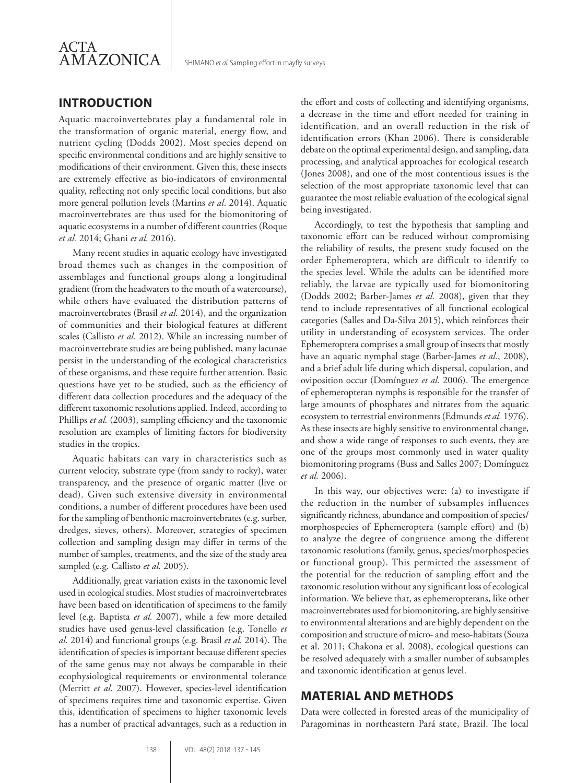

## **INTRODUCTION**

Aquatic macroinvertebrates play a fundamental role in the transformation of organic material, energy flow, and nutrient cycling (Dodds 2002). Most species depend on specific environmental conditions and are highly sensitive to modifications of their environment. Given this, these insects are extremely effective as bio-indicators of environmental quality, reflecting not only specific local conditions, but also more general pollution levels (Martins *et al*. 2014). Aquatic macroinvertebrates are thus used for the biomonitoring of aquatic ecosystems in a number of different countries (Roque *et al.* 2014; Ghani *et al.* 2016).

Many recent studies in aquatic ecology have investigated broad themes such as changes in the composition of assemblages and functional groups along a longitudinal gradient (from the headwaters to the mouth of a watercourse), while others have evaluated the distribution patterns of macroinvertebrates (Brasil *et al.* 2014), and the organization of communities and their biological features at different scales (Callisto *et al.* 2012). While an increasing number of macroinvertebrate studies are being published, many lacunae persist in the understanding of the ecological characteristics of these organisms, and these require further attention. Basic questions have yet to be studied, such as the efficiency of different data collection procedures and the adequacy of the different taxonomic resolutions applied. Indeed, according to Phillips *et al.* (2003), sampling efficiency and the taxonomic resolution are examples of limiting factors for biodiversity studies in the tropics.

Aquatic habitats can vary in characteristics such as current velocity, substrate type (from sandy to rocky), water transparency, and the presence of organic matter (live or dead). Given such extensive diversity in environmental conditions, a number of different procedures have been used for the sampling of benthonic macroinvertebrates (e.g. surber, dredges, sieves, others). Moreover, strategies of specimen collection and sampling design may differ in terms of the number of samples, treatments, and the size of the study area sampled (e.g. Callisto *et al.* 2005).

Additionally, great variation exists in the taxonomic level used in ecological studies. Most studies of macroinvertebrates have been based on identification of specimens to the family level (e.g. Baptista *et al.* 2007), while a few more detailed studies have used genus-level classification (e.g. Tonello *et al.* 2014) and functional groups (e.g. Brasil *et al.* 2014). The identification of species is important because different species of the same genus may not always be comparable in their ecophysiological requirements or environmental tolerance (Merritt *et al.* 2007). However, species-level identification of specimens requires time and taxonomic expertise. Given this, identification of specimens to higher taxonomic levels has a number of practical advantages, such as a reduction in

the effort and costs of collecting and identifying organisms, a decrease in the time and effort needed for training in identification, and an overall reduction in the risk of identification errors (Khan 2006). There is considerable debate on the optimal experimental design, and sampling, data processing, and analytical approaches for ecological research (Jones 2008), and one of the most contentious issues is the selection of the most appropriate taxonomic level that can guarantee the most reliable evaluation of the ecological signal being investigated.

Accordingly, to test the hypothesis that sampling and taxonomic effort can be reduced without compromising the reliability of results, the present study focused on the order Ephemeroptera, which are difficult to identify to the species level. While the adults can be identified more reliably, the larvae are typically used for biomonitoring (Dodds 2002; Barber-James *et al.* 2008), given that they tend to include representatives of all functional ecological categories (Salles and Da-Silva 2015), which reinforces their utility in understanding of ecosystem services. The order Ephemeroptera comprises a small group of insects that mostly have an aquatic nymphal stage (Barber-James *et al.*, 2008), and a brief adult life during which dispersal, copulation, and oviposition occur (Domínguez *et al.* 2006). The emergence of ephemeropteran nymphs is responsible for the transfer of large amounts of phosphates and nitrates from the aquatic ecosystem to terrestrial environments (Edmunds *et al.* 1976). As these insects are highly sensitive to environmental change, and show a wide range of responses to such events, they are one of the groups most commonly used in water quality biomonitoring programs (Buss and Salles 2007; Domínguez *et al.* 2006).

In this way, our objectives were: (a) to investigate if the reduction in the number of subsamples influences significantly richness, abundance and composition of species/ morphospecies of Ephemeroptera (sample effort) and (b) to analyze the degree of congruence among the different taxonomic resolutions (family, genus, species/morphospecies or functional group). This permitted the assessment of the potential for the reduction of sampling effort and the taxonomic resolution without any significant loss of ecological information. We believe that, as ephemeropterans, like other macroinvertebrates used for biomonitoring, are highly sensitive to environmental alterations and are highly dependent on the composition and structure of micro- and meso-habitats (Souza et al. 2011; Chakona et al. 2008), ecological questions can be resolved adequately with a smaller number of subsamples and taxonomic identification at genus level.

#### **MATERIAL AND METHODS**

Data were collected in forested areas of the municipality of Paragominas in northeastern Pará state, Brazil. The local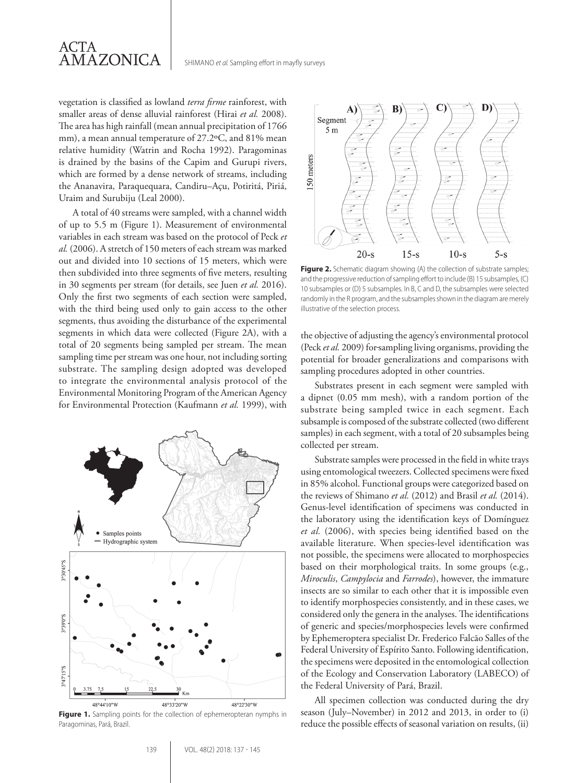

vegetation is classified as lowland *terra firme* rainforest, with smaller areas of dense alluvial rainforest (Hirai *et al.* 2008). The area has high rainfall (mean annual precipitation of 1766 mm), a mean annual temperature of 27.2ºC, and 81% mean relative humidity (Watrin and Rocha 1992). Paragominas is drained by the basins of the Capim and Gurupi rivers, which are formed by a dense network of streams, including the Ananavira, Paraquequara, Candiru–Açu, Potiritá, Piriá, Uraim and Surubiju (Leal 2000).

A total of 40 streams were sampled, with a channel width of up to 5.5 m (Figure 1). Measurement of environmental variables in each stream was based on the protocol of Peck *et al.* (2006). A stretch of 150 meters of each stream was marked out and divided into 10 sections of 15 meters, which were then subdivided into three segments of five meters, resulting in 30 segments per stream (for details, see Juen *et al.* 2016). Only the first two segments of each section were sampled, with the third being used only to gain access to the other segments, thus avoiding the disturbance of the experimental segments in which data were collected (Figure 2A), with a total of 20 segments being sampled per stream. The mean sampling time per stream was one hour, not including sorting substrate. The sampling design adopted was developed to integrate the environmental analysis protocol of the Environmental Monitoring Program of the American Agency for Environmental Protection (Kaufmann *et al.* 1999), with



Figure 1. Sampling points for the collection of ephemeropteran nymphs in Paragominas, Pará, Brazil.



**Figure 2.** Schematic diagram showing (A) the collection of substrate samples; and the progressive reduction of sampling effort to include (B) 15 subsamples, (C) 10 subsamples or (D) 5 subsamples. In B, C and D, the subsamples were selected randomly in the R program, and the subsamples shown in the diagram are merely illustrative of the selection process.

the objective of adjusting the agency's environmental protocol (Peck *et al.* 2009) for sampling living organisms, providing the potential for broader generalizations and comparisons with sampling procedures adopted in other countries.

Substrates present in each segment were sampled with a dipnet (0.05 mm mesh), with a random portion of the substrate being sampled twice in each segment. Each subsample is composed of the substrate collected (two different samples) in each segment, with a total of 20 subsamples being collected per stream.

Substrate samples were processed in the field in white trays using entomological tweezers. Collected specimens were fixed in 85% alcohol. Functional groups were categorized based on the reviews of Shimano *et al.* (2012) and Brasil *et al.* (2014). Genus-level identification of specimens was conducted in the laboratory using the identification keys of Domínguez *et al.* (2006), with species being identified based on the available literature. When species-level identification was not possible, the specimens were allocated to morphospecies based on their morphological traits. In some groups (e.g., *Miroculis*, *Campylocia* and *Farrodes*), however, the immature insects are so similar to each other that it is impossible even to identify morphospecies consistently, and in these cases, we considered only the genera in the analyses. The identifications of generic and species/morphospecies levels were confirmed by Ephemeroptera specialist Dr. Frederico Falcão Salles of the Federal University of Espírito Santo. Following identification, the specimens were deposited in the entomological collection of the Ecology and Conservation Laboratory (LABECO) of the Federal University of Pará, Brazil.

All specimen collection was conducted during the dry season (July–November) in 2012 and 2013, in order to (i) reduce the possible effects of seasonal variation on results, (ii)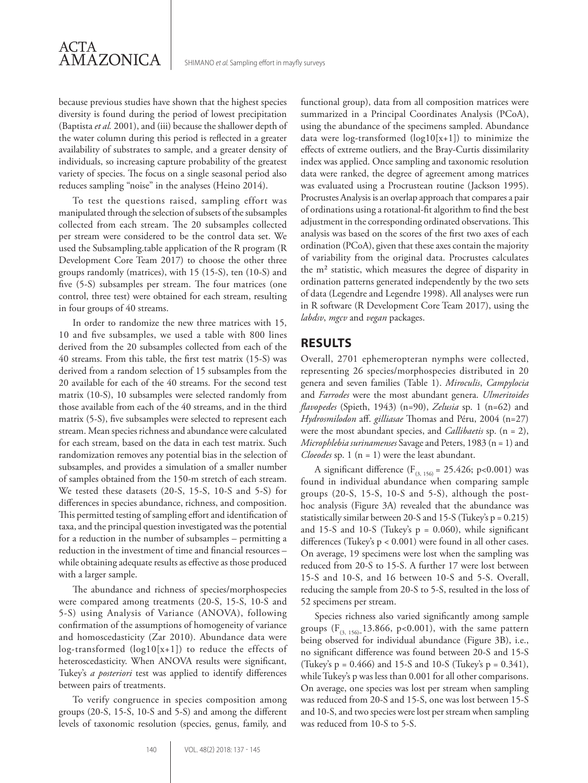because previous studies have shown that the highest species diversity is found during the period of lowest precipitation (Baptista *et al.* 2001), and (iii) because the shallower depth of the water column during this period is reflected in a greater availability of substrates to sample, and a greater density of individuals, so increasing capture probability of the greatest variety of species. The focus on a single seasonal period also reduces sampling "noise" in the analyses (Heino 2014).

To test the questions raised, sampling effort was manipulated through the selection of subsets of the subsamples collected from each stream. The 20 subsamples collected per stream were considered to be the control data set. We used the Subsampling.table application of the R program (R Development Core Team 2017) to choose the other three groups randomly (matrices), with 15 (15-S), ten (10-S) and five (5-S) subsamples per stream. The four matrices (one control, three test) were obtained for each stream, resulting in four groups of 40 streams.

In order to randomize the new three matrices with 15, 10 and five subsamples, we used a table with 800 lines derived from the 20 subsamples collected from each of the 40 streams. From this table, the first test matrix (15-S) was derived from a random selection of 15 subsamples from the 20 available for each of the 40 streams. For the second test matrix (10-S), 10 subsamples were selected randomly from those available from each of the 40 streams, and in the third matrix (5-S), five subsamples were selected to represent each stream. Mean species richness and abundance were calculated for each stream, based on the data in each test matrix. Such randomization removes any potential bias in the selection of subsamples, and provides a simulation of a smaller number of samples obtained from the 150-m stretch of each stream. We tested these datasets (20-S, 15-S, 10-S and 5-S) for differences in species abundance, richness, and composition. This permitted testing of sampling effort and identification of taxa, and the principal question investigated was the potential for a reduction in the number of subsamples – permitting a reduction in the investment of time and financial resources – while obtaining adequate results as effective as those produced with a larger sample.

The abundance and richness of species/morphospecies were compared among treatments (20-S, 15-S, 10-S and 5-S) using Analysis of Variance (ANOVA), following confirmation of the assumptions of homogeneity of variance and homoscedasticity (Zar 2010). Abundance data were log-transformed (log10[x+1]) to reduce the effects of heteroscedasticity. When ANOVA results were significant, Tukey's *a posteriori* test was applied to identify differences between pairs of treatments.

To verify congruence in species composition among groups (20-S, 15-S, 10-S and 5-S) and among the different levels of taxonomic resolution (species, genus, family, and

functional group), data from all composition matrices were summarized in a Principal Coordinates Analysis (PCoA), using the abundance of the specimens sampled. Abundance data were log-transformed (log10[x+1]) to minimize the effects of extreme outliers, and the Bray-Curtis dissimilarity index was applied. Once sampling and taxonomic resolution data were ranked, the degree of agreement among matrices was evaluated using a Procrustean routine (Jackson 1995). Procrustes Analysis is an overlap approach that compares a pair of ordinations using a rotational-fit algorithm to find the best adjustment in the corresponding ordinated observations. This analysis was based on the scores of the first two axes of each ordination (PCoA), given that these axes contain the majority of variability from the original data. Procrustes calculates the m² statistic, which measures the degree of disparity in ordination patterns generated independently by the two sets of data (Legendre and Legendre 1998). All analyses were run in R software (R Development Core Team 2017), using the *labdsv*, *mgcv* and *vegan* packages.

### **RESULTS**

Overall, 2701 ephemeropteran nymphs were collected, representing 26 species/morphospecies distributed in 20 genera and seven families (Table 1). *Miroculis*, *Campylocia* and *Farrodes* were the most abundant genera. *Ulmeritoides flavopedes* (Spieth, 1943) (n=90), *Zelusia* sp. 1 (n=62) and *Hydrosmilodon* aff. *gilliasae* Thomas and Péru, 2004 (n=27) were the most abundant species, and *Callibaetis* sp. (n = 2), *Microphlebia surinamenses* Savage and Peters, 1983 (n = 1) and *Cloeodes* sp. 1 (n = 1) were the least abundant.

A significant difference ( $F_{(3, 156)} = 25.426$ ; p<0.001) was found in individual abundance when comparing sample groups (20-S, 15-S, 10-S and 5-S), although the posthoc analysis (Figure 3A) revealed that the abundance was statistically similar between 20-S and 15-S (Tukey's  $p = 0.215$ ) and 15-S and 10-S (Tukey's  $p = 0.060$ ), while significant differences (Tukey's p < 0.001) were found in all other cases. On average, 19 specimens were lost when the sampling was reduced from 20-S to 15-S. A further 17 were lost between 15-S and 10-S, and 16 between 10-S and 5-S. Overall, reducing the sample from 20-S to 5-S, resulted in the loss of 52 specimens per stream.

Species richness also varied significantly among sample groups  $(F_{(3, 156)z}13.866, p<0.001)$ , with the same pattern being observed for individual abundance (Figure 3B), i.e., no significant difference was found between 20-S and 15-S (Tukey's  $p = 0.466$ ) and 15-S and 10-S (Tukey's  $p = 0.341$ ), while Tukey's p was less than 0.001 for all other comparisons. On average, one species was lost per stream when sampling was reduced from 20-S and 15-S, one was lost between 15-S and 10-S, and two species were lost per stream when sampling was reduced from 10-S to 5-S.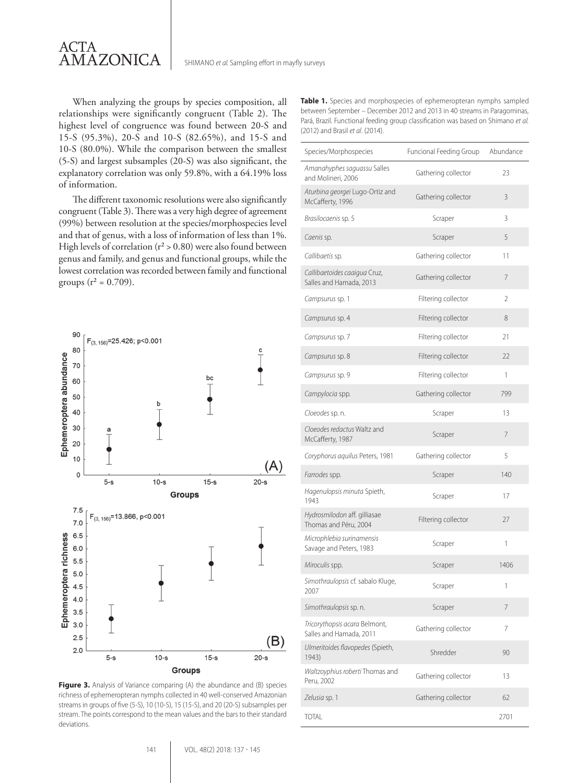

When analyzing the groups by species composition, all relationships were significantly congruent (Table 2). The highest level of congruence was found between 20-S and 15-S (95.3%), 20-S and 10-S (82.65%), and 15-S and 10-S (80.0%). While the comparison between the smallest (5-S) and largest subsamples (20-S) was also significant, the explanatory correlation was only 59.8%, with a 64.19% loss of information.

The different taxonomic resolutions were also significantly congruent (Table 3). There was a very high degree of agreement (99%) between resolution at the species/morphospecies level and that of genus, with a loss of information of less than 1%. High levels of correlation ( $r^2 > 0.80$ ) were also found between genus and family, and genus and functional groups, while the lowest correlation was recorded between family and functional groups ( $r^2 = 0.709$ ).



Figure 3. Analysis of Variance comparing (A) the abundance and (B) species richness of ephemeropteran nymphs collected in 40 well-conserved Amazonian streams in groups of five (5-S), 10 (10-S), 15 (15-S), and 20 (20-S) subsamples per stream. The points correspond to the mean values and the bars to their standard deviations.

| <b>Table 1.</b> Species and morphospecies of ephemeropteran nymphs sampled        |
|-----------------------------------------------------------------------------------|
| between September – December 2012 and 2013 in 40 streams in Paragominas,          |
| Pará, Brazil. Functional feeding group classification was based on Shimano et al. |
| (2012) and Brasil et al. (2014).                                                  |

| Species/Morphospecies                                    | Funcional Feeding Group Abundance |      |
|----------------------------------------------------------|-----------------------------------|------|
| Amanahyphes saguassu Salles<br>and Molineri, 2006        | Gathering collector               | 23   |
| Aturbina georgei Lugo-Ortiz and<br>McCafferty, 1996      | Gathering collector               | 3    |
| Brasilocaenis sp. 5                                      | Scraper                           | 3    |
| Caenis sp.                                               | Scraper                           | 5    |
| Callibaetis sp.                                          | Gathering collector               | 11   |
| Callibaetoides caaigua Cruz,<br>Salles and Hamada, 2013  | Gathering collector               | 7    |
| Campsurus sp. 1                                          | Filtering collector               | 2    |
| Campsurus sp. 4                                          | Filtering collector               | 8    |
| Campsurus sp. 7                                          | Filtering collector               | 21   |
| Campsurus sp. 8                                          | Filtering collector               | 22   |
| Campsurus sp. 9                                          | Filtering collector               | 1    |
| Campylocia spp.                                          | Gathering collector               | 799  |
| Cloeodes sp. n.                                          | Scraper                           | 13   |
| Cloeodes redactus Waltz and<br>McCafferty, 1987          | Scraper                           | 7    |
| Coryphorus aquilus Peters, 1981                          | Gathering collector               | 5    |
| Farrodes spp.                                            | Scraper                           | 140  |
| Hagenulopsis minuta Spieth,<br>1943                      | Scraper                           | 17   |
| Hydrosmilodon aff. gilliasae<br>Thomas and Péru, 2004    | Filtering collector               | 27   |
| Microphlebia surinamensis<br>Savage and Peters, 1983     | Scraper                           | 1    |
| Miroculis spp.                                           | Scraper                           | 1406 |
| Simothraulopsis cf. sabalo Kluge,<br>2007                | Scraper                           |      |
| Simothraulopsis sp. n.                                   | Scraper                           | 7    |
| Tricorythopsis acara Belmont,<br>Salles and Hamada, 2011 | Gathering collector               | 7    |
| Ulmeritoides flavopedes (Spieth,<br>1943)                | Shredder                          | 90   |
| Waltzoyphius roberti Thomas and<br>Peru, 2002            | Gathering collector               | 13   |
| Zelusia sp. 1                                            | Gathering collector               | 62   |
| <b>TOTAL</b>                                             |                                   | 2701 |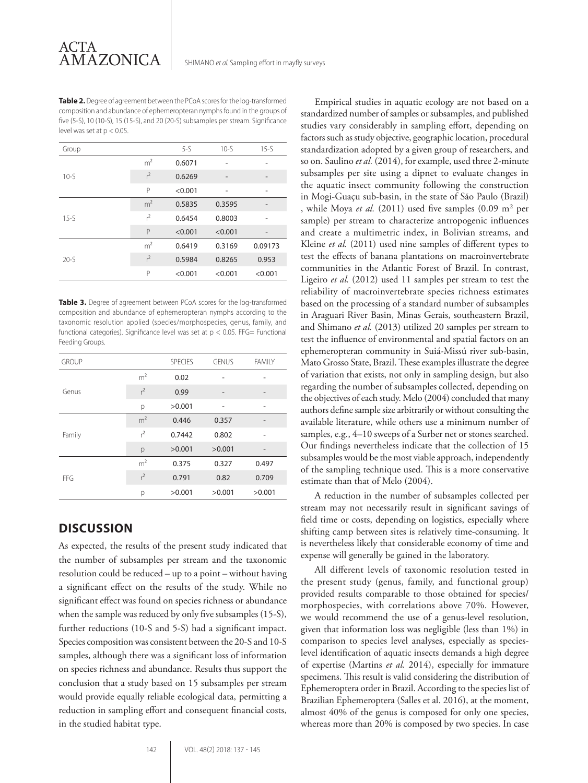**Table 2.** Degree of agreement between the PCoA scores for the log-transformed composition and abundance of ephemeropteran nymphs found in the groups of five (5-S), 10 (10-S), 15 (15-S), and 20 (20-S) subsamples per stream. Significance level was set at  $p < 0.05$ .

| Group    |                | $5-5$   | $10-5$                   | $15-5$                   |
|----------|----------------|---------|--------------------------|--------------------------|
| $10-5$   | m <sup>2</sup> | 0.6071  | ٠                        | ۰                        |
|          | $r^2$          | 0.6269  | $\overline{\phantom{0}}$ | $\overline{\phantom{0}}$ |
|          | P              | < 0.001 | -                        | ۰                        |
| $15 - S$ | m <sup>2</sup> | 0.5835  | 0.3595                   | ۰                        |
|          | $r^2$          | 0.6454  | 0.8003                   | ۰                        |
|          | P              | < 0.001 | < 0.001                  |                          |
| $20-5$   | m <sup>2</sup> | 0.6419  | 0.3169                   | 0.09173                  |
|          | $r^2$          | 0.5984  | 0.8265                   | 0.953                    |
|          | P              | < 0.001 | < 0.001                  | < 0.001                  |

**Table 3.** Degree of agreement between PCoA scores for the log-transformed composition and abundance of ephemeropteran nymphs according to the taxonomic resolution applied (species/morphospecies, genus, family, and functional categories). Significance level was set at  $p < 0.05$ . FFG= Functional Feeding Groups.

| <b>GROUP</b> |                | <b>SPECIES</b> | <b>GENUS</b>             | <b>FAMILY</b> |
|--------------|----------------|----------------|--------------------------|---------------|
| Genus        | m <sup>2</sup> | 0.02           |                          |               |
|              | $r^2$          | 0.99           | $\overline{\phantom{a}}$ |               |
|              | р              | >0.001         | ۰                        | ۰             |
| Family       | m <sup>2</sup> | 0.446          | 0.357                    |               |
|              | $r^2$          | 0.7442         | 0.802                    |               |
|              | p              | >0.001         | >0.001                   |               |
| FFG          | m <sup>2</sup> | 0.375          | 0.327                    | 0.497         |
|              | $r^2$          | 0.791          | 0.82                     | 0.709         |
|              | р              | >0.001         | >0.001                   | >0.001        |

# **DISCUSSION**

As expected, the results of the present study indicated that the number of subsamples per stream and the taxonomic resolution could be reduced – up to a point – without having a significant effect on the results of the study. While no significant effect was found on species richness or abundance when the sample was reduced by only five subsamples (15-S), further reductions (10-S and 5-S) had a significant impact. Species composition was consistent between the 20-S and 10-S samples, although there was a significant loss of information on species richness and abundance. Results thus support the conclusion that a study based on 15 subsamples per stream would provide equally reliable ecological data, permitting a reduction in sampling effort and consequent financial costs, in the studied habitat type.

Empirical studies in aquatic ecology are not based on a standardized number of samples or subsamples, and published studies vary considerably in sampling effort, depending on factors such as study objective, geographic location, procedural standardization adopted by a given group of researchers, and so on. Saulino *et al.* (2014), for example, used three 2-minute subsamples per site using a dipnet to evaluate changes in the aquatic insect community following the construction in Mogi-Guaçu sub-basin, in the state of São Paulo (Brazil) , while Moya *et al.* (2011) used five samples (0.09 m² per sample) per stream to characterize antropogenic influences and create a multimetric index, in Bolivian streams, and Kleine *et al.* (2011) used nine samples of different types to test the effects of banana plantations on macroinvertebrate communities in the Atlantic Forest of Brazil. In contrast, Ligeiro *et al.* (2012) used 11 samples per stream to test the reliability of macroinvertebrate species richness estimates based on the processing of a standard number of subsamples in Araguari River Basin, Minas Gerais, southeastern Brazil, and Shimano *et al.* (2013) utilized 20 samples per stream to test the influence of environmental and spatial factors on an ephemeropteran community in Suiá-Missú river sub-basin, Mato Grosso State, Brazil. These examples illustrate the degree of variation that exists, not only in sampling design, but also regarding the number of subsamples collected, depending on the objectives of each study. Melo (2004) concluded that many authors define sample size arbitrarily or without consulting the available literature, while others use a minimum number of samples, e.g., 4–10 sweeps of a Surber net or stones searched. Our findings nevertheless indicate that the collection of 15 subsamples would be the most viable approach, independently of the sampling technique used. This is a more conservative estimate than that of Melo (2004).

A reduction in the number of subsamples collected per stream may not necessarily result in significant savings of field time or costs, depending on logistics, especially where shifting camp between sites is relatively time-consuming. It is nevertheless likely that considerable economy of time and expense will generally be gained in the laboratory.

All different levels of taxonomic resolution tested in the present study (genus, family, and functional group) provided results comparable to those obtained for species/ morphospecies, with correlations above 70%. However, we would recommend the use of a genus-level resolution, given that information loss was negligible (less than 1%) in comparison to species level analyses, especially as specieslevel identification of aquatic insects demands a high degree of expertise (Martins *et al.* 2014), especially for immature specimens. This result is valid considering the distribution of Ephemeroptera order in Brazil. According to the species list of Brazilian Ephemeroptera (Salles et al. 2016), at the moment, almost 40% of the genus is composed for only one species, whereas more than 20% is composed by two species. In case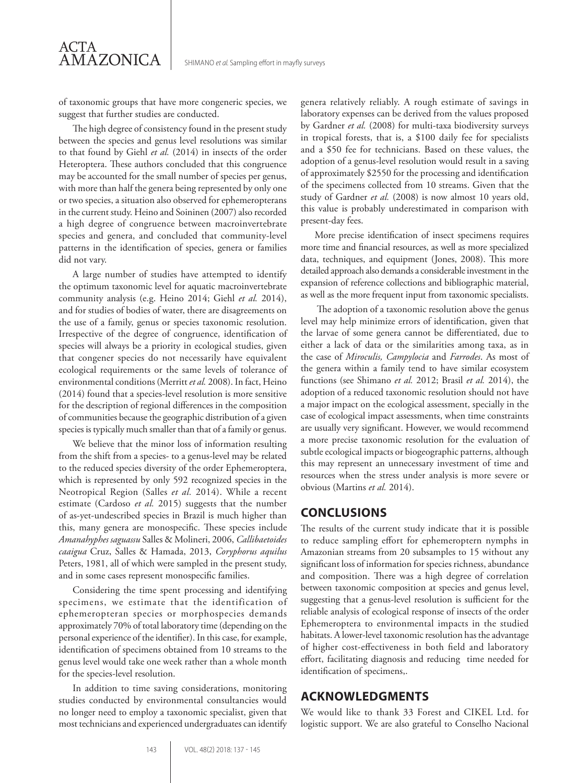of taxonomic groups that have more congeneric species, we suggest that further studies are conducted.

ACTA

AMAZONICA

The high degree of consistency found in the present study between the species and genus level resolutions was similar to that found by Giehl *et al.* (2014) in insects of the order Heteroptera. These authors concluded that this congruence may be accounted for the small number of species per genus, with more than half the genera being represented by only one or two species, a situation also observed for ephemeropterans in the current study. Heino and Soininen (2007) also recorded a high degree of congruence between macroinvertebrate species and genera, and concluded that community-level patterns in the identification of species, genera or families did not vary.

A large number of studies have attempted to identify the optimum taxonomic level for aquatic macroinvertebrate community analysis (e.g. Heino 2014; Giehl *et al.* 2014), and for studies of bodies of water, there are disagreements on the use of a family, genus or species taxonomic resolution. Irrespective of the degree of congruence, identification of species will always be a priority in ecological studies, given that congener species do not necessarily have equivalent ecological requirements or the same levels of tolerance of environmental conditions (Merritt *et al.* 2008). In fact, Heino (2014) found that a species-level resolution is more sensitive for the description of regional differences in the composition of communities because the geographic distribution of a given species is typically much smaller than that of a family or genus.

We believe that the minor loss of information resulting from the shift from a species- to a genus-level may be related to the reduced species diversity of the order Ephemeroptera, which is represented by only 592 recognized species in the Neotropical Region (Salles *et al.* 2014). While a recent estimate (Cardoso *et al.* 2015) suggests that the number of as-yet-undescribed species in Brazil is much higher than this, many genera are monospecific. These species include *Amanahyphes saguassu* Salles & Molineri, 2006, *Callibaetoides caaigua* Cruz, Salles & Hamada, 2013, *Coryphorus aquilus*  Peters, 1981, all of which were sampled in the present study, and in some cases represent monospecific families.

Considering the time spent processing and identifying specimens, we estimate that the identification of ephemeropteran species or morphospecies demands approximately 70% of total laboratory time (depending on the personal experience of the identifier). In this case, for example, identification of specimens obtained from 10 streams to the genus level would take one week rather than a whole month for the species-level resolution.

In addition to time saving considerations, monitoring studies conducted by environmental consultancies would no longer need to employ a taxonomic specialist, given that most technicians and experienced undergraduates can identify

genera relatively reliably. A rough estimate of savings in laboratory expenses can be derived from the values proposed by Gardner *et al.* (2008) for multi-taxa biodiversity surveys in tropical forests, that is, a \$100 daily fee for specialists and a \$50 fee for technicians. Based on these values, the adoption of a genus-level resolution would result in a saving of approximately \$2550 for the processing and identification of the specimens collected from 10 streams. Given that the study of Gardner *et al.* (2008) is now almost 10 years old, this value is probably underestimated in comparison with present-day fees.

More precise identification of insect specimens requires more time and financial resources, as well as more specialized data, techniques, and equipment (Jones, 2008). This more detailed approach also demands a considerable investment in the expansion of reference collections and bibliographic material, as well as the more frequent input from taxonomic specialists.

 The adoption of a taxonomic resolution above the genus level may help minimize errors of identification, given that the larvae of some genera cannot be differentiated, due to either a lack of data or the similarities among taxa, as in the case of *Miroculis, Campylocia* and *Farrodes*. As most of the genera within a family tend to have similar ecosystem functions (see Shimano *et al.* 2012; Brasil *et al.* 2014), the adoption of a reduced taxonomic resolution should not have a major impact on the ecological assessment, specially in the case of ecological impact assessments, when time constraints are usually very significant. However, we would recommend a more precise taxonomic resolution for the evaluation of subtle ecological impacts or biogeographic patterns, although this may represent an unnecessary investment of time and resources when the stress under analysis is more severe or obvious (Martins *et al.* 2014).

#### **CONCLUSIONS**

The results of the current study indicate that it is possible to reduce sampling effort for ephemeroptern nymphs in Amazonian streams from 20 subsamples to 15 without any significant loss of information for species richness, abundance and composition. There was a high degree of correlation between taxonomic composition at species and genus level, suggesting that a genus-level resolution is sufficient for the reliable analysis of ecological response of insects of the order Ephemeroptera to environmental impacts in the studied habitats. A lower-level taxonomic resolution has the advantage of higher cost-effectiveness in both field and laboratory effort, facilitating diagnosis and reducing time needed for identification of specimens,.

#### **ACKNOWLEDGMENTS**

We would like to thank 33 Forest and CIKEL Ltd. for logistic support. We are also grateful to Conselho Nacional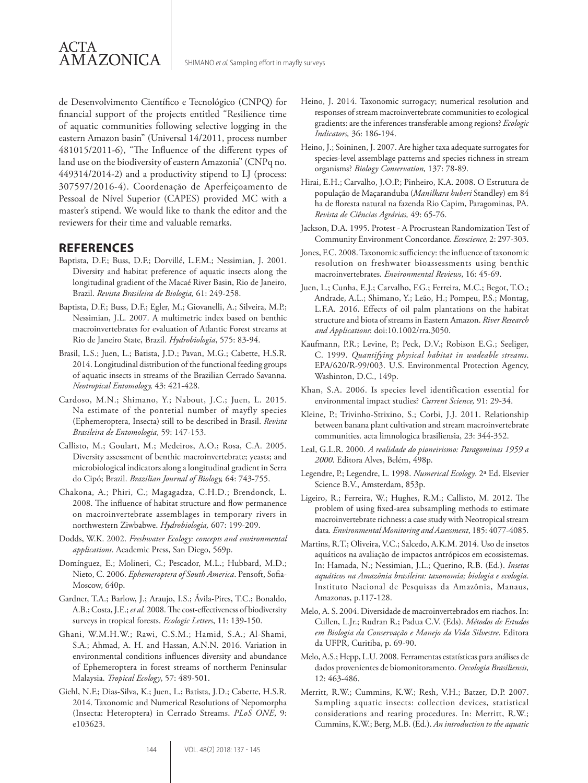

de Desenvolvimento Científico e Tecnológico (CNPQ) for financial support of the projects entitled "Resilience time of aquatic communities following selective logging in the eastern Amazon basin" (Universal 14/2011, process number 481015/2011-6), "The Influence of the different types of land use on the biodiversity of eastern Amazonia" (CNPq no. 449314/2014-2) and a productivity stipend to LJ (process: 307597/2016-4). Coordenação de Aperfeiçoamento de Pessoal de Nível Superior (CAPES) provided MC with a master's stipend. We would like to thank the editor and the reviewers for their time and valuable remarks.

#### **REFERENCES**

- Baptista, D.F.; Buss, D.F.; Dorvillé, L.F.M.; Nessimian, J. 2001. Diversity and habitat preference of aquatic insects along the longitudinal gradient of the Macaé River Basin, Rio de Janeiro, Brazil. *Revista Brasileira de Biologia,* 61: 249-258.
- Baptista, D.F.; Buss, D.F.; Egler, M.; Giovanelli, A.; Silveira, M.P.; Nessimian, J.L. 2007. A multimetric index based on benthic macroinvertebrates for evaluation of Atlantic Forest streams at Rio de Janeiro State, Brazil. *Hydrobiologia*, 575: 83-94.
- Brasil, L.S.; Juen, L.; Batista, J.D.; Pavan, M.G.; Cabette, H.S.R. 2014. Longitudinal distribution of the functional feeding groups of aquatic insects in streams of the Brazilian Cerrado Savanna. *Neotropical Entomology,* 43: 421-428.
- Cardoso, M.N.; Shimano, Y.; Nabout, J.C.; Juen, L. 2015. Na estimate of the pontetial number of mayfly species (Ephemeroptera, Insecta) still to be described in Brasil. *Revista Brasileira de Entomologia*, 59: 147-153.
- Callisto, M.; Goulart, M.; Medeiros, A.O.; Rosa, C.A. 2005. Diversity assessment of benthic macroinvertebrate; yeasts; and microbiological indicators along a longitudinal gradient in Serra do Cipó; Brazil. *Brazilian Journal of Biology,* 64: 743-755.
- Chakona, A.; Phiri, C.; Magagadza, C.H.D.; Brendonck, L. 2008. The influence of habitat structure and flow permanence on macroinvertebrate assemblages in temporary rivers in northwestern Ziwbabwe. *Hydrobiologia,* 607: 199-209.
- Dodds, W.K. 2002. *Freshwater Ecology: concepts and environmental applications*. Academic Press, San Diego, 569p.
- Domínguez, E.; Molineri, C.; Pescador, M.L.; Hubbard, M.D.; Nieto, C. 2006. *Ephemeroptera of South America*. Pensoft, Sofia-Moscow, 640p.
- Gardner, T.A.; Barlow, J.; Araujo, I.S.; Ávila-Pires, T.C.; Bonaldo, A.B.; Costa, J.E.; *et al.* 2008. The cost-effectiveness of biodiversity surveys in tropical forests. *Ecologic Letters*, 11: 139-150.
- Ghani, W.M.H.W.; Rawi, C.S.M.; Hamid, S.A.; Al-Shami, S.A.; Ahmad, A. H. and Hassan, A.N.N. 2016. Variation in environmental conditions influences diversity and abundance of Ephemeroptera in forest streams of northerm Peninsular Malaysia. *Tropical Ecology*, 57: 489-501.
- Giehl, N.F.; Dias-Silva, K.; Juen, L.; Batista, J.D.; Cabette, H.S.R. 2014. Taxonomic and Numerical Resolutions of Nepomorpha (Insecta: Heteroptera) in Cerrado Streams. *PLoS ONE*, 9: e103623.
- Heino, J. 2014. Taxonomic surrogacy; numerical resolution and responses of stream macroinvertebrate communities to ecological gradients: are the inferences transferable among regions? *Ecologic Indicators,* 36: 186-194.
- Heino, J.; Soininen, J. 2007. Are higher taxa adequate surrogates for species-level assemblage patterns and species richness in stream organisms? *Biology Conservation,* 137: 78-89.
- Hirai, E.H.; Carvalho, J.O.P.; Pinheiro, K.A. 2008. O Estrutura de população de Maçaranduba (*Manilkara huberi* Standley) em 84 ha de floresta natural na fazenda Rio Capim, Paragominas, PA. *Revista de Ciências Agrárias,* 49: 65-76.
- Jackson, D.A. 1995. Protest A Procrustean Randomization Test of Community Environment Concordance. *Ecoscience,* 2: 297-303.
- Jones, F.C. 2008. Taxonomic sufficiency: the influence of taxonomic resolution on freshwater bioassessments using benthic macroinvertebrates*. Environmental Reviews*, 16: 45-69.
- Juen, L.; Cunha, E.J.; Carvalho, F.G.; Ferreira, M.C.; Begot, T.O.; Andrade, A.L.; Shimano, Y.; Leão, H.; Pompeu, P.S.; Montag, L.F.A. 2016. Effects of oil palm plantations on the habitat structure and biota of streams in Eastern Amazon. *River Research and Applications*: doi:10.1002/rra.3050.
- Kaufmann, P.R.; Levine, P.; Peck, D.V.; Robison E.G.; Seeliger, C. 1999. *Quantifying physical habitat in wadeable streams*. EPA/620/R-99/003. U.S. Environmental Protection Agency, Washinton, D.C., 149p.
- Khan, S.A. 2006. Is species level identification essential for environmental impact studies? *Current Science,* 91: 29-34.
- Kleine, P.; Trivinho-Strixino, S.; Corbi, J.J. 2011. Relationship between banana plant cultivation and stream macroinvertebrate communities. acta limnologica brasiliensia, 23: 344-352.
- Leal, G.L.R. 2000. *A realidade do pioneirismo: Paragominas 1959 a 2000*. Editora Alves, Belém, 498p.
- Legendre, P.; Legendre, L. 1998. *Numerical Ecology*. 2ª Ed. Elsevier Science B.V., Amsterdam, 853p.
- Ligeiro, R.; Ferreira, W.; Hughes, R.M.; Callisto, M. 2012. The problem of using fixed-area subsampling methods to estimate macroinvertebrate richness: a case study with Neotropical stream data*. Environmental Monitoring and Assessment*, 185: 4077-4085.
- Martins, R.T.; Oliveira, V.C.; Salcedo, A.K.M. 2014. Uso de insetos aquáticos na avaliação de impactos antrópicos em ecossistemas. In: Hamada, N.; Nessimian, J.L.; Querino, R.B. (Ed.). *Insetos aquáticos na Amazônia brasileira: taxonomia; biologia e ecologia*. Instituto Nacional de Pesquisas da Amazônia, Manaus, Amazonas, p.117-128.
- Melo, A. S. 2004. Diversidade de macroinvertebrados em riachos. In: Cullen, L.Jr.; Rudran R.; Padua C.V. (Eds). *Métodos de Estudos em Biologia da Conservação e Manejo da Vida Silvestre*. Editora da UFPR, Curitiba, p. 69-90.
- Melo, A.S.; Hepp, L.U. 2008. Ferramentas estatísticas para análises de dados provenientes de biomonitoramento. *Oecologia Brasiliensis,*  12: 463-486.
- Merritt, R.W.; Cummins, K.W.; Resh, V.H.; Batzer, D.P. 2007. Sampling aquatic insects: collection devices, statistical considerations and rearing procedures. In: Merritt, R.W.; Cummins, K.W.; Berg, M.B. (Ed.). *An introduction to the aquatic*